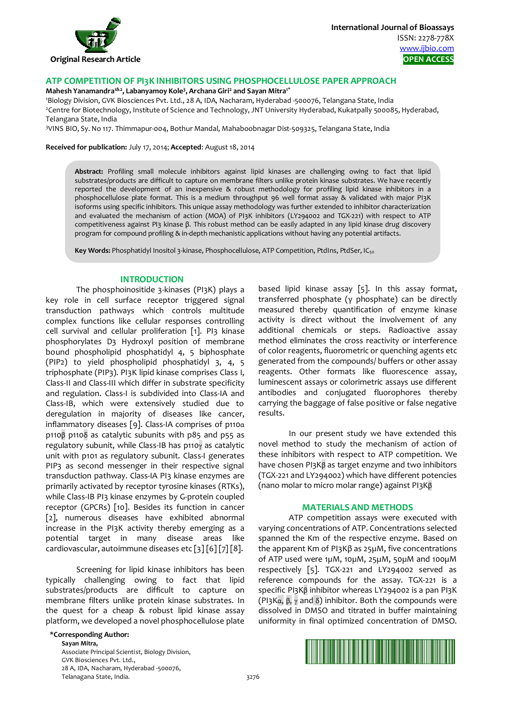

#### **ATP COMPETITION OF PI3K INHIBITORS USING PHOSPHOCELLULOSE PAPER APPROACH**

**Mahesh Yanamandra1&2, Labanyamoy Kole3, Archana Giri2 and Sayan Mitra1\*** 

1 Biology Division, GVK Biosciences Pvt. Ltd., 28 A, IDA, Nacharam, Hyderabad -500076, Telangana State, India 2Centre for Biotechnology, Institute of Science and Technology, JNT University Hyderabad, Kukatpally 500085, Hyderabad, Telangana State, India

3VINS BIO, Sy. No 117. Thimmapur-004, Bothur Mandal, Mahaboobnagar Dist-509325, Telangana State, India

**Received for publication:** July 17, 2014; **Accepted**: August 18, 2014

**Abstract:** Profiling small molecule inhibitors against lipid kinases are challenging owing to fact that lipid substrates/products are difficult to capture on membrane filters unlike protein kinase substrates. We have recently reported the development of an inexpensive & robust methodology for profiling lipid kinase inhibitors in a phosphocellulose plate format. This is a medium throughput 96 well format assay & validated with major PI3K isoforms using specific inhibitors. This unique assay methodology was further extended to inhibitor characterization and evaluated the mechanism of action (MOA) of PI3K inhibitors (LY294002 and TGX-221) with respect to ATP competitiveness against PI3 kinase β. This robust method can be easily adapted in any lipid kinase drug discovery program for compound profiling & in-depth mechanistic applications without having any potential artifacts.

Key Words: Phosphatidyl Inositol 3-kinase, Phosphocellulose, ATP Competition, PtdIns, PtdSer, IC<sub>50</sub>

#### **INTRODUCTION**

The phosphoinositide 3-kinases (PI3K) plays a key role in cell surface receptor triggered signal transduction pathways which controls multitude complex functions like cellular responses controlling cell survival and cellular proliferation [1]. PI3 kinase phosphorylates D3 Hydroxyl position of membrane bound phospholipid phosphatidyl 4, 5 biphosphate (PIP2) to yield phospholipid phosphatidyl 3, 4, 5 triphosphate (PIP3). PI3K lipid kinase comprises Class I, Class-II and Class-III which differ in substrate specificity and regulation. Class-I is subdivided into Class-IA and Class-IB, which were extensively studied due to deregulation in majority of diseases like cancer, inflammatory diseases [9]. Class-IA comprises of p110α p110β p110δ as catalytic subunits with p85 and p55 as regulatory subunit, while Class-IB has p110γ as catalytic unit with p101 as regulatory subunit. Class-I generates PIP3 as second messenger in their respective signal transduction pathway. Class-IA PI3 kinase enzymes are primarily activated by receptor tyrosine kinases (RTKs), while Class-IB PI3 kinase enzymes by G-protein coupled receptor (GPCRs) [10]. Besides its function in cancer [2], numerous diseases have exhibited abnormal increase in the PI3K activity thereby emerging as a potential target in many disease areas like cardiovascular, autoimmune diseases etc [3] [6] [7] [8].

Screening for lipid kinase inhibitors has been typically challenging owing to fact that lipid substrates/products are difficult to capture on membrane filters unlike protein kinase substrates. In the quest for a cheap & robust lipid kinase assay platform, we developed a novel phosphocellulose plate

**\*Corresponding Author: Sayan Mitra,**  Associate Principal Scientist, Biology Division, GVK Biosciences Pvt. Ltd., 28 A, IDA, Nacharam, Hyderabad -500076, Telanagana State, India. 3276

based lipid kinase assay [5]. In this assay format, transferred phosphate (γ phosphate) can be directly measured thereby quantification of enzyme kinase activity is direct without the involvement of any additional chemicals or steps. Radioactive assay method eliminates the cross reactivity or interference of color reagents, fluorometric or quenching agents etc generated from the compounds/ buffers or other assay reagents. Other formats like fluorescence assay, luminescent assays or colorimetric assays use different antibodies and conjugated fluorophores thereby carrying the baggage of false positive or false negative results.

In our present study we have extended this novel method to study the mechanism of action of these inhibitors with respect to ATP competition. We have chosen PI3Kβ as target enzyme and two inhibitors (TGX-221 and LY294002) which have different potencies (nano molar to micro molar range) against PI3Kβ

#### **MATERIALS AND METHODS**

ATP competition assays were executed with varying concentrations of ATP. Concentrations selected spanned the Km of the respective enzyme. Based on the apparent Km of PI3Kβ as 25µM, five concentrations of ATP used were 1µM, 10µM, 25µM, 50µM and 100µM respectively [5]. TGX-221 and LY294002 served as reference compounds for the assay. TGX-221 is a specific PI3Kβ inhibitor whereas LY294002 is a pan PI3K (PI3Ka,  $\beta$ ,  $\gamma$  and  $\delta$ ) inhibitor. Both the compounds were dissolved in DMSO and titrated in buffer maintaining uniformity in final optimized concentration of DMSO.

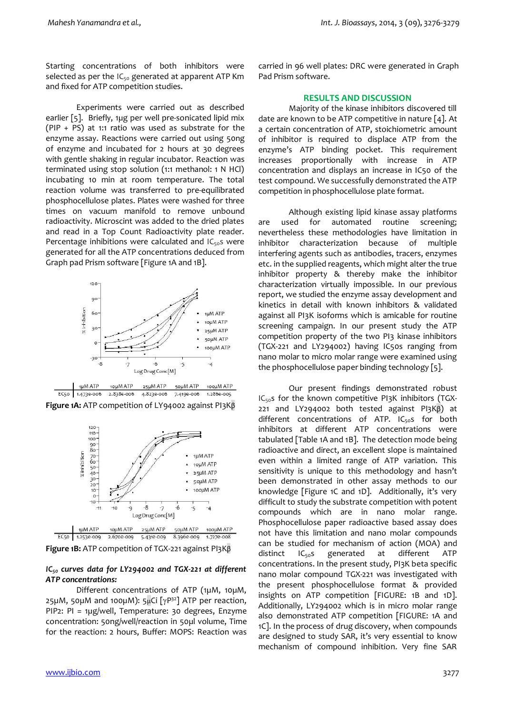Starting concentrations of both inhibitors were selected as per the  $IC_{50}$  generated at apparent ATP Km and fixed for ATP competition studies.

Experiments were carried out as described earlier [5]. Briefly, 1µg per well pre-sonicated lipid mix (PIP + PS) at 1:1 ratio was used as substrate for the enzyme assay. Reactions were carried out using 50ng of enzyme and incubated for 2 hours at 30 degrees with gentle shaking in regular incubator. Reaction was terminated using stop solution (1:1 methanol: 1 N HCl) incubating 10 min at room temperature. The total reaction volume was transferred to pre-equilibrated phosphocellulose plates. Plates were washed for three times on vacuum manifold to remove unbound radioactivity. Microscint was added to the dried plates and read in a Top Count Radioactivity plate reader. Percentage inhibitions were calculated and  $IC_{50}$ s were generated for all the ATP concentrations deduced from Graph pad Prism software [Figure 1A and 1B].



**Figure 1A:** ATP competition of LY94002 against PI3Kβ



**Figure 1B:** ATP competition of TGX-221 against PI3Kβ

### *IC50 curves data for LY294002 and TGX-221 at different ATP concentrations:*

Different concentrations of ATP (1µM, 10µM, 25μM, 50μM and 100μM): 5μCi  $\lceil \gamma P^{32} \rceil$  ATP per reaction, PIP2: PI = 1µg/well, Temperature: 30 degrees, Enzyme concentration: 50ng/well/reaction in 50µl volume, Time for the reaction: 2 hours, Buffer: MOPS: Reaction was

carried in 96 well plates: DRC were generated in Graph Pad Prism software.

# **RESULTS AND DISCUSSION**

Majority of the kinase inhibitors discovered till date are known to be ATP competitive in nature [4]. At a certain concentration of ATP, stoichiometric amount of inhibitor is required to displace ATP from the enzyme's ATP binding pocket. This requirement increases proportionally with increase in ATP concentration and displays an increase in IC50 of the test compound. We successfully demonstrated the ATP competition in phosphocellulose plate format.

Although existing lipid kinase assay platforms are used for automated routine screening; nevertheless these methodologies have limitation in inhibitor characterization because of multiple interfering agents such as antibodies, tracers, enzymes etc. in the supplied reagents, which might alter the true inhibitor property & thereby make the inhibitor characterization virtually impossible. In our previous report, we studied the enzyme assay development and kinetics in detail with known inhibitors & validated against all PI3K isoforms which is amicable for routine screening campaign. In our present study the ATP competition property of the two PI3 kinase inhibitors (TGX-221 and LY294002) having IC50s ranging from nano molar to micro molar range were examined using the phosphocellulose paper binding technology [5].

Our present findings demonstrated robust  $IC_{50}$ s for the known competitive PI3K inhibitors (TGX-221 and LY294002 both tested against PI3Kβ) at different concentrations of ATP.  $IC_{50}$ s for both inhibitors at different ATP concentrations were tabulated [Table 1A and 1B]. The detection mode being radioactive and direct, an excellent slope is maintained even within a limited range of ATP variation. This sensitivity is unique to this methodology and hasn't been demonstrated in other assay methods to our knowledge [Figure 1C and 1D]. Additionally, it's very difficult to study the substrate competition with potent compounds which are in nano molar range. Phosphocellulose paper radioactive based assay does not have this limitation and nano molar compounds can be studied for mechanism of action (MOA) and  $distinct$  IC<sub>50</sub>s generated at different ATP concentrations. In the present study, PI3K beta specific nano molar compound TGX-221 was investigated with the present phosphocellulose format & provided insights on ATP competition [FIGURE: 1B and 1D]. Additionally, LY294002 which is in micro molar range also demonstrated ATP competition [FIGURE: 1A and 1C]. In the process of drug discovery, when compounds are designed to study SAR, it's very essential to know mechanism of compound inhibition. Very fine SAR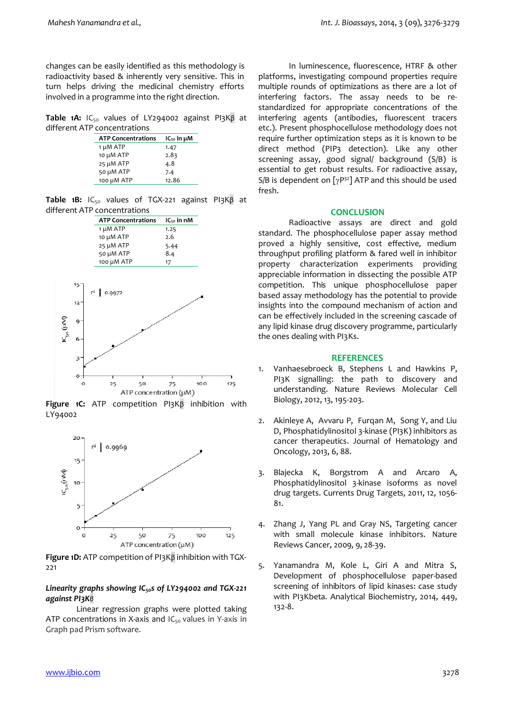changes can be easily identified as this methodology is radioactivity based & inherently very sensitive. This in turn helps driving the medicinal chemistry efforts involved in a programme into the right direction.

Table 1A: IC<sub>50</sub> values of LY294002 against PI3Kβ at different ATP concentrations

| <b>ATP Concentrations</b> | $IC_{50}$ in $µM$ |
|---------------------------|-------------------|
| 1 µM ATP                  | 1.47              |
| 10 µM ATP                 | 2.83              |
| 25 µM ATP                 | 4.8               |
| 50 µM ATP                 | 7.4               |
| 100 µM ATP                | 12.86             |

Table 1B: IC<sub>50</sub> values of TGX-221 against PI3Kβ at different ATP concentrations



**Figure 1C:** ATP competition PI3Kβ inhibition with LY94002



**Figure 1D:** ATP competition of PI3Kβ inhibition with TGX-221

# Linearity graphs showing IC<sub>50</sub>s of LY294002 and TGX-221 *against PI3Kβ*

Linear regression graphs were plotted taking ATP concentrations in X-axis and  $IC_{50}$  values in Y-axis in Graph pad Prism software.

In luminescence, fluorescence, HTRF & other platforms, investigating compound properties require multiple rounds of optimizations as there are a lot of interfering factors. The assay needs to be restandardized for appropriate concentrations of the interfering agents (antibodies, fluorescent tracers etc.). Present phosphocellulose methodology does not require further optimization steps as it is known to be direct method (PIP3 detection). Like any other screening assay, good signal/ background (S/B) is essential to get robust results. For radioactive assay, S/B is dependent on  $\lceil \gamma P^{32} \rceil$  ATP and this should be used fresh.

## **CONCLUSION**

Radioactive assays are direct and gold standard. The phosphocellulose paper assay method proved a highly sensitive, cost effective, medium throughput profiling platform & fared well in inhibitor property characterization experiments providing appreciable information in dissecting the possible ATP competition. This unique phosphocellulose paper based assay methodology has the potential to provide insights into the compound mechanism of action and can be effectively included in the screening cascade of any lipid kinase drug discovery programme, particularly the ones dealing with PI3Ks.

# **REFERENCES**

- 1. Vanhaesebroeck B, Stephens L and Hawkins P, PI3K signalling: the path to discovery and understanding. Nature Reviews Molecular Cell Biology, 2012, 13, 195-203.
- 2. Akinleye A, Avvaru P, Furqan M, Song Y, and Liu D, Phosphatidylinositol 3-kinase (PI3K) inhibitors as cancer therapeutics. Journal of Hematology and Oncology, 2013, 6, 88.
- 3. Blajecka K, Borgstrom A and Arcaro A, Phosphatidylinositol 3-kinase isoforms as novel drug targets. Currents Drug Targets, 2011, 12, 1056- 81.
- 4. Zhang J, Yang PL and Gray NS, Targeting cancer with small molecule kinase inhibitors. Nature Reviews Cancer, 2009, 9, 28-39.
- 5. Yanamandra M, Kole L, Giri A and Mitra S, Development of phosphocellulose paper-based screening of inhibitors of lipid kinases: case study with PI3Kbeta. Analytical Biochemistry, 2014, 449, 132-8.